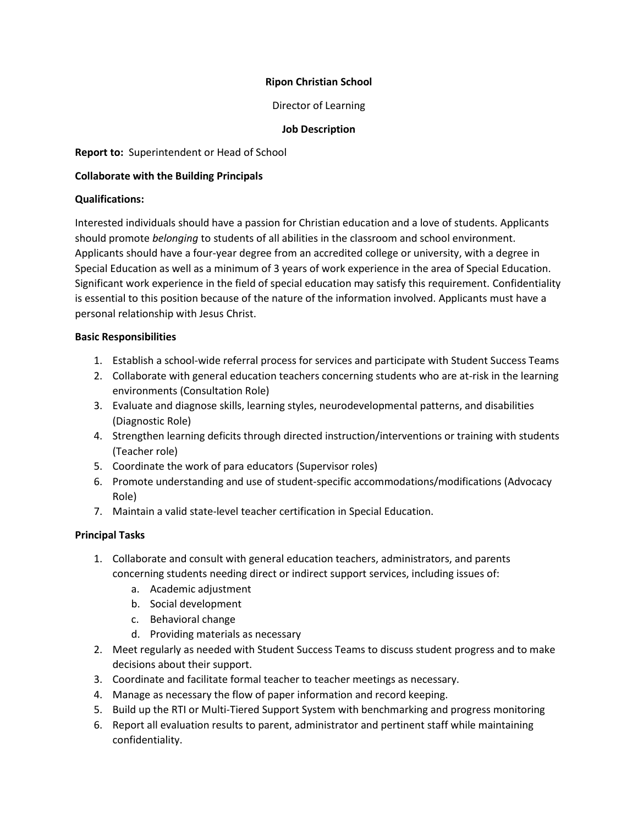## **Ripon Christian School**

## Director of Learning

#### **Job Description**

**Report to:** Superintendent or Head of School

#### **Collaborate with the Building Principals**

#### **Qualifications:**

Interested individuals should have a passion for Christian education and a love of students. Applicants should promote *belonging* to students of all abilities in the classroom and school environment. Applicants should have a four-year degree from an accredited college or university, with a degree in Special Education as well as a minimum of 3 years of work experience in the area of Special Education. Significant work experience in the field of special education may satisfy this requirement. Confidentiality is essential to this position because of the nature of the information involved. Applicants must have a personal relationship with Jesus Christ.

## **Basic Responsibilities**

- 1. Establish a school-wide referral process for services and participate with Student Success Teams
- 2. Collaborate with general education teachers concerning students who are at-risk in the learning environments (Consultation Role)
- 3. Evaluate and diagnose skills, learning styles, neurodevelopmental patterns, and disabilities (Diagnostic Role)
- 4. Strengthen learning deficits through directed instruction/interventions or training with students (Teacher role)
- 5. Coordinate the work of para educators (Supervisor roles)
- 6. Promote understanding and use of student-specific accommodations/modifications (Advocacy Role)
- 7. Maintain a valid state-level teacher certification in Special Education.

# **Principal Tasks**

- 1. Collaborate and consult with general education teachers, administrators, and parents concerning students needing direct or indirect support services, including issues of:
	- a. Academic adjustment
	- b. Social development
	- c. Behavioral change
	- d. Providing materials as necessary
- 2. Meet regularly as needed with Student Success Teams to discuss student progress and to make decisions about their support.
- 3. Coordinate and facilitate formal teacher to teacher meetings as necessary.
- 4. Manage as necessary the flow of paper information and record keeping.
- 5. Build up the RTI or Multi-Tiered Support System with benchmarking and progress monitoring
- 6. Report all evaluation results to parent, administrator and pertinent staff while maintaining confidentiality.